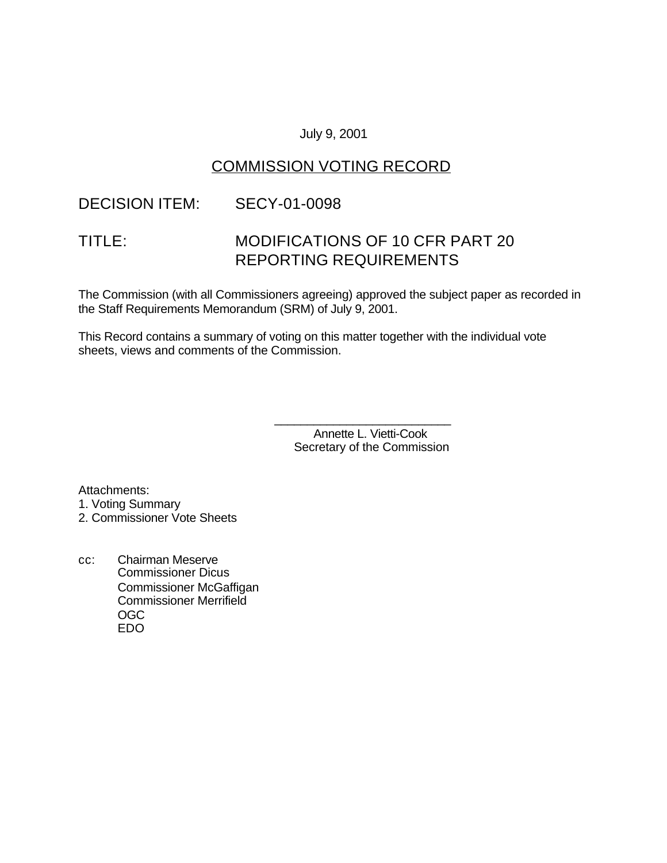#### July 9, 2001

# COMMISSION VOTING RECORD

### DECISION ITEM: SECY-01-0098

# TITLE: MODIFICATIONS OF 10 CFR PART 20 REPORTING REQUIREMENTS

The Commission (with all Commissioners agreeing) approved the subject paper as recorded in the Staff Requirements Memorandum (SRM) of July 9, 2001.

This Record contains a summary of voting on this matter together with the individual vote sheets, views and comments of the Commission.

> Annette L. Vietti-Cook Secretary of the Commission

\_\_\_\_\_\_\_\_\_\_\_\_\_\_\_\_\_\_\_\_\_\_\_\_\_\_\_

Attachments: 1. Voting Summary

2. Commissioner Vote Sheets

cc: Chairman Meserve Commissioner Dicus Commissioner McGaffigan Commissioner Merrifield OGC EDO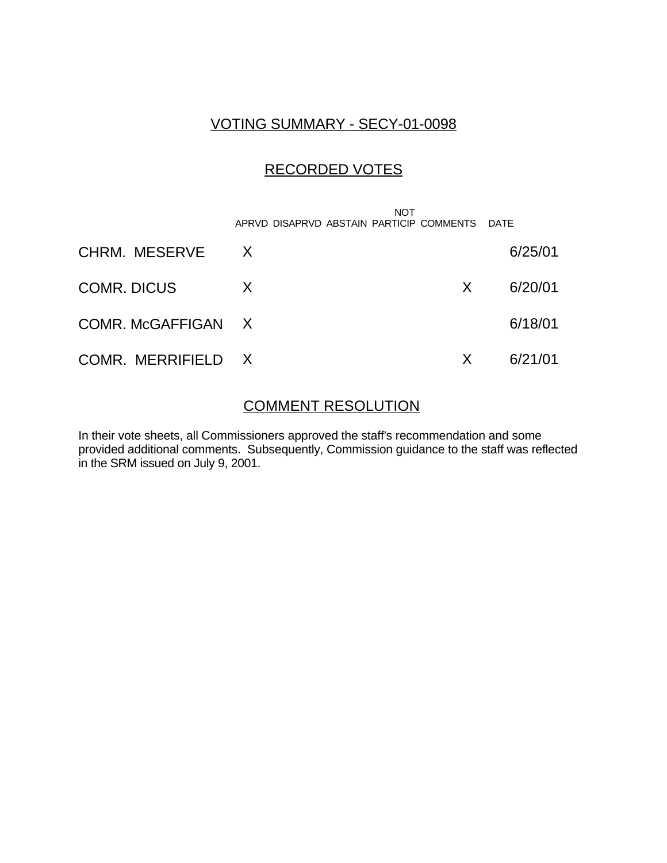### VOTING SUMMARY - SECY-01-0098

# RECORDED VOTES

 NOT APRVD DISAPRVD ABSTAIN PARTICIP COMMENTS DATE CHRM. MESERVE X 6/25/01 COMR. DICUS X X 6/20/01 COMR. McGAFFIGAN X 6/18/01 COMR. MERRIFIELD X X 6/21/01

#### COMMENT RESOLUTION

In their vote sheets, all Commissioners approved the staff's recommendation and some provided additional comments. Subsequently, Commission guidance to the staff was reflected in the SRM issued on July 9, 2001.